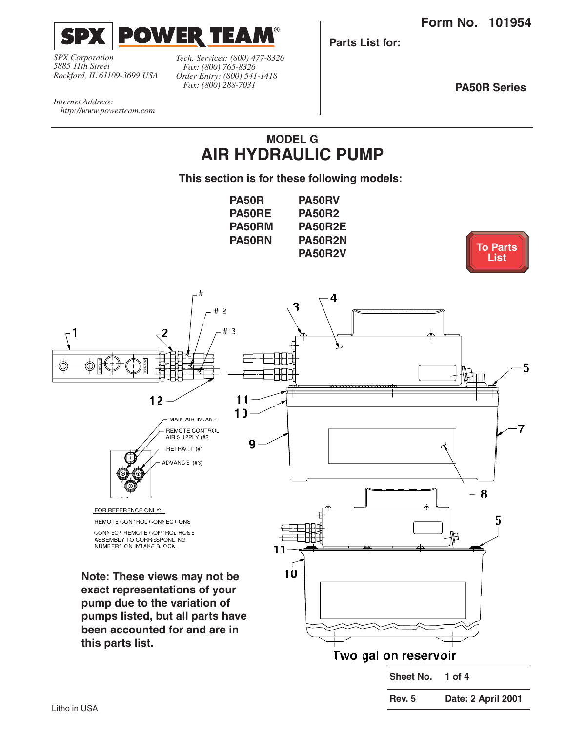<span id="page-0-0"></span>

*SPX Corporation 5885 11th Street Rockford, IL 61109-3699 USA*

*Tech. Services: (800) 477-8326 Fax: (800) 765-8326 Order Entry: (800) 541-1418 Fax: (800) 288-7031*

**Parts List for:**

**PA50R Series**

*Internet Address: http://www.powerteam.com*

# **MODEL G AIR HYDRAULIC PUMP**

**This section is for these following models:**

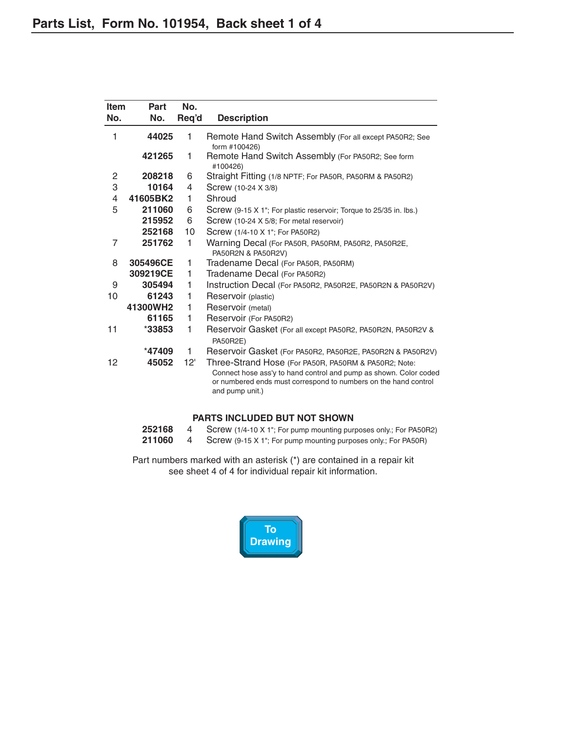<span id="page-1-0"></span>

| <b>Item</b> | Part     | No.   |                                                                                                                                                                                                                 |
|-------------|----------|-------|-----------------------------------------------------------------------------------------------------------------------------------------------------------------------------------------------------------------|
| No.         | No.      | Req'd | <b>Description</b>                                                                                                                                                                                              |
| 1           | 44025    | 1     | Remote Hand Switch Assembly (For all except PA50R2; See<br>form #100426)                                                                                                                                        |
|             | 421265   | 1     | Remote Hand Switch Assembly (For PA50R2; See form<br>#100426)                                                                                                                                                   |
| 2           | 208218   | 6     | Straight Fitting (1/8 NPTF; For PA50R, PA50RM & PA50R2)                                                                                                                                                         |
| 3           | 10164    | 4     | Screw (10-24 X 3/8)                                                                                                                                                                                             |
| 4           | 41605BK2 | 1.    | Shroud                                                                                                                                                                                                          |
| 5           | 211060   | 6     | Screw (9-15 X 1"; For plastic reservoir; Torque to 25/35 in. lbs.)                                                                                                                                              |
|             | 215952   | 6     | Screw (10-24 X 5/8; For metal reservoir)                                                                                                                                                                        |
|             | 252168   | 10    | Screw (1/4-10 X 1"; For PA50R2)                                                                                                                                                                                 |
| 7           | 251762   | 1     | Warning Decal (For PA50R, PA50RM, PA50R2, PA50R2E,<br>PA50R2N & PA50R2V)                                                                                                                                        |
| 8           | 305496CE | 1     | Tradename Decal (For PA50R, PA50RM)                                                                                                                                                                             |
|             | 309219CE | 1     | Tradename Decal (For PA50R2)                                                                                                                                                                                    |
| 9           | 305494   | 1     | Instruction Decal (For PA50R2, PA50R2E, PA50R2N & PA50R2V)                                                                                                                                                      |
| 10          | 61243    | 1     | Reservoir (plastic)                                                                                                                                                                                             |
|             | 41300WH2 | 1     | Reservoir (metal)                                                                                                                                                                                               |
|             | 61165    | 1     | Reservoir (For PA50R2)                                                                                                                                                                                          |
| 11          | $*33853$ | 1     | Reservoir Gasket (For all except PA50R2, PA50R2N, PA50R2V &<br>PA50R2E)                                                                                                                                         |
|             | $*47409$ | 1     | Reservoir Gasket (For PA50R2, PA50R2E, PA50R2N & PA50R2V)                                                                                                                                                       |
| 12          | 45052    | 12'   | Three-Strand Hose (For PA50R, PA50RM & PA50R2; Note:<br>Connect hose ass'y to hand control and pump as shown. Color coded<br>or numbered ends must correspond to numbers on the hand control<br>and pump unit.) |

### **PARTS INCLUDED BUT NOT SHOWN**

| 252168 | Screw (1/4-10 X 1"; For pump mounting purposes only.; For PA50R2) |
|--------|-------------------------------------------------------------------|
| 211060 | Screw (9-15 X 1"; For pump mounting purposes only.; For PA50R)    |

Part numbers marked with an asterisk (\*) are contained in a repair kit see sheet 4 of 4 for individual repair kit information.

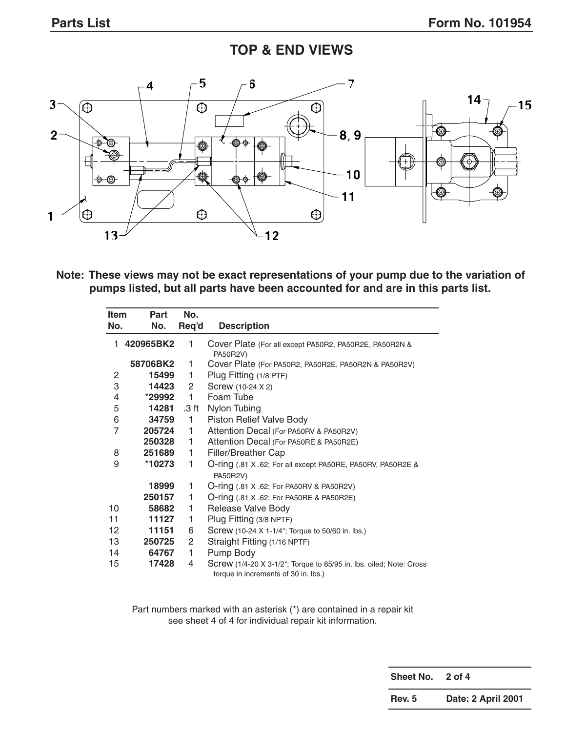# **TOP & END VIEWS**



**Note: These views may not be exact representations of your pump due to the variation of pumps listed, but all parts have been accounted for and are in this parts list.**

| <b>Item</b>    | <b>Part</b> | No.          |                                                                                                             |
|----------------|-------------|--------------|-------------------------------------------------------------------------------------------------------------|
| No.            | No.         | Req'd        | <b>Description</b>                                                                                          |
| 1.             | 420965BK2   | 1            | Cover Plate (For all except PA50R2, PA50R2E, PA50R2N &<br>PA50R2V)                                          |
|                | 58706BK2    | 1            | Cover Plate (For PA50R2, PA50R2E, PA50R2N & PA50R2V)                                                        |
| 2              | 15499       | 1.           | Plug Fitting (1/8 PTF)                                                                                      |
| 3              | 14423       | 2            | Screw (10-24 X 2)                                                                                           |
| 4              | *29992      | $\mathbf{1}$ | Foam Tube                                                                                                   |
| 5              | 14281       | .3 ft        | Nylon Tubing                                                                                                |
| 6              | 34759       | $\mathbf{1}$ | Piston Relief Valve Body                                                                                    |
| $\overline{7}$ | 205724      | 1.           | Attention Decal (For PA50RV & PA50R2V)                                                                      |
|                | 250328      | 1.           | Attention Decal (For PA50RE & PA50R2E)                                                                      |
| 8              | 251689      | 1.           | Filler/Breather Cap                                                                                         |
| 9              | *10273      | 1            | O-ring (.81 X .62; For all except PA50RE, PA50RV, PA50R2E &<br>PA50R2V)                                     |
|                | 18999       | 1            | O-ring (.81 X .62; For PA50RV & PA50R2V)                                                                    |
|                | 250157      | 1            | O-ring (.81 X .62; For PA50RE & PA50R2E)                                                                    |
| 10             | 58682       | 1            | Release Valve Body                                                                                          |
| 11             | 11127       | 1            | Plug Fitting (3/8 NPTF)                                                                                     |
| 12             | 11151       | 6            | Screw (10-24 X 1-1/4"; Torque to 50/60 in. lbs.)                                                            |
| 13             | 250725      | 2            | Straight Fitting (1/16 NPTF)                                                                                |
| 14             | 64767       | 1            | Pump Body                                                                                                   |
| 15             | 17428       | 4            | Screw (1/4-20 X 3-1/2"; Torque to 85/95 in. lbs. oiled; Note: Cross<br>torque in increments of 30 in. lbs.) |

Part numbers marked with an asterisk (\*) are contained in a repair kit see sheet 4 of 4 for individual repair kit information.

> **Sheet No. 2 of 4 Rev. 5 Date: 2 April 2001**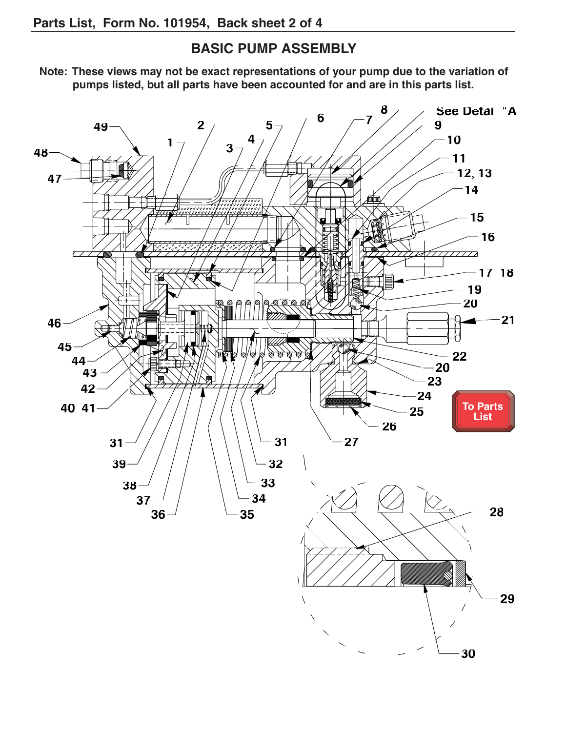## **BASIC PUMP ASSEMBLY**

<span id="page-3-0"></span>**Note: These views may not be exact representations of your pump due to the variation of pumps listed, but all parts have been accounted for and are in this parts list.**

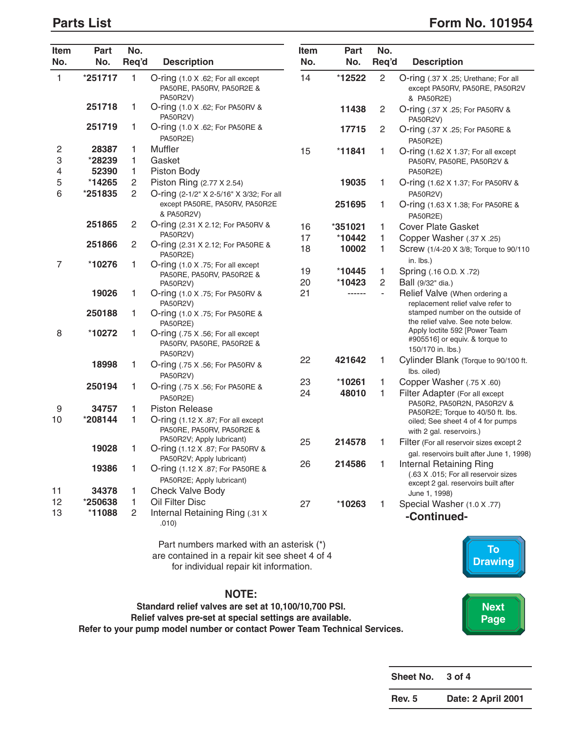### <span id="page-4-0"></span>**Parts List** Form No. 101954

| Item<br>No.    | Part<br>No. | No.<br>Req'd   | <b>Description</b>                                                         | Item<br>No. | Part<br>No. | No.<br>Req'd   | <b>Description</b>                                                                   |
|----------------|-------------|----------------|----------------------------------------------------------------------------|-------------|-------------|----------------|--------------------------------------------------------------------------------------|
| $\mathbf{1}$   | *251717     | 1              | O-ring (1.0 X .62; For all except<br>PA50RE, PA50RV, PA50R2E &<br>PA50R2V) | 14          | *12522      | $\overline{2}$ | O-ring (.37 X .25; Urethane; For all<br>except PA50RV, PA50RE, PA50R2V<br>& PA50R2E) |
|                | 251718      | 1              | O-ring (1.0 X .62; For PA50RV &<br>PA50R2V)                                |             | 11438       | $\overline{c}$ | O-ring (.37 X .25; For PA50RV &<br>PA50R2V)                                          |
|                | 251719      | 1              | O-ring (1.0 X .62; For PA50RE &<br><b>PA50R2E)</b>                         |             | 17715       | 2              | O-ring (.37 X .25; For PA50RE &<br>PA50R2E)                                          |
| 2              | 28387       | 1              | Muffler                                                                    | 15          | $*11841$    | 1              | O-ring (1.62 X 1.37; For all except                                                  |
| 3              | *28239      | 1              | Gasket                                                                     |             |             |                | PA50RV, PA50RE, PA50R2V &                                                            |
| 4              | 52390       | 1              | Piston Body                                                                |             |             |                | PA50R2E)                                                                             |
| 5              | *14265      | $\overline{c}$ | Piston Ring (2.77 X 2.54)                                                  |             | 19035       | 1              | O-ring (1.62 X 1.37; For PA50RV &                                                    |
| 6              | *251835     | $\overline{c}$ | O-ring (2-1/2" X 2-5/16" X 3/32; For all                                   |             |             |                | PA50R2V)                                                                             |
|                |             |                | except PA50RE, PA50RV, PA50R2E<br>& PA50R2V)                               |             | 251695      | 1              | O-ring (1.63 X 1.38; For PA50RE &<br><b>PA50R2E)</b>                                 |
|                | 251865      | $\mathbf{2}$   | O-ring (2.31 X 2.12; For PA50RV &                                          | 16          | *351021     | 1              | <b>Cover Plate Gasket</b>                                                            |
|                |             |                | PA50R2V)                                                                   | 17          | *10442      | 1              | Copper Washer (.37 X .25)                                                            |
|                | 251866      | $\overline{c}$ | O-ring (2.31 X 2.12; For PA50RE &<br>PA50R2E)                              | 18          | 10002       | 1              | Screw (1/4-20 X 3/8; Torque to 90/110<br>in. lbs.)                                   |
| $\overline{7}$ | *10276      | 1              | O-ring (1.0 X .75; For all except                                          | 19          | *10445      | 1              | Spring (.16 O.D. X .72)                                                              |
|                |             |                | PA50RE, PA50RV, PA50R2E &<br>PA50R2V)                                      | 20          | *10423      | 2              | Ball (9/32" dia.)                                                                    |
|                | 19026       | 1              | O-ring (1.0 X .75; For PA50RV &<br>PA50R2V)                                | 21          | ------      |                | Relief Valve (When ordering a<br>replacement relief valve refer to                   |
|                | 250188      | 1              | O-ring (1.0 X .75; For PA50RE &<br>PA50R2E)                                |             |             |                | stamped number on the outside of<br>the relief valve. See note below.                |
| 8              | *10272      | 1              | O-ring (.75 X .56; For all except<br>PA50RV, PA50RE, PA50R2E &<br>PA50R2V) |             |             |                | Apply loctite 592 [Power Team<br>#905516] or equiv. & torque to<br>150/170 in. lbs.) |
|                | 18998       | 1              | O-ring (.75 X .56; For PA50RV &                                            | 22          | 421642      | 1              | Cylinder Blank (Torque to 90/100 ft.<br>lbs. oiled)                                  |
|                |             |                | PA50R2V)                                                                   | 23          | *10261      | 1              | Copper Washer (.75 X .60)                                                            |
|                | 250194      | 1              | O-ring (.75 X .56; For PA50RE &<br>PA50R2E)                                | 24          | 48010       | 1              | Filter Adapter (For all except<br>PA50R2, PA50R2N, PA50R2V &                         |
| 9              | 34757       | 1              | <b>Piston Release</b>                                                      |             |             |                | PA50R2E; Torque to 40/50 ft. lbs.                                                    |
| 10             | *208144     | 1              | O-ring (1.12 X .87; For all except<br>PA50RE, PA50RV, PA50R2E &            |             |             |                | oiled; See sheet 4 of 4 for pumps<br>with 2 gal. reservoirs.)                        |
|                |             |                | PA50R2V; Apply lubricant)                                                  | 25          | 214578      | 1              | Filter (For all reservoir sizes except 2                                             |
|                | 19028       | 1              | O-ring (1.12 X .87; For PA50RV &                                           |             |             |                | gal. reservoirs built after June 1, 1998)                                            |
|                |             |                | PA50R2V; Apply lubricant)                                                  | 26          | 214586      | 1              | Internal Retaining Ring                                                              |
|                | 19386       | 1              | O-ring (1.12 X .87; For PA50RE &<br>PA50R2E; Apply lubricant)              |             |             |                | (.63 X .015; For all reservoir sizes<br>except 2 gal. reservoirs built after         |
| 11             | 34378       | 1              | <b>Check Valve Body</b>                                                    |             |             |                | June 1, 1998)                                                                        |
| 12             | *250638     | 1.             | Oil Filter Disc                                                            | 27          | *10263      | 1              | Special Washer (1.0 X .77)                                                           |
| 13             | *11088      | 2              | Internal Retaining Ring (.31 X<br>.010)                                    |             |             |                | -Continued-                                                                          |
|                |             |                | Part numbers marked with an asterisk (*)                                   |             |             |                |                                                                                      |

are contained in a repair kit see sheet 4 of 4 for individual repair kit information.

**NOTE:**

**Standard relief valves are set at 10,100/10,700 PSI. Relief valves pre-set at special settings are available. Refer to your pump model number or contact Power Team Technical Services.**

**To [Drawing](#page-3-0) [Next](#page-5-0)  Page**

| Sheet No.     | $3$ of $4$         |
|---------------|--------------------|
| <b>Rev. 5</b> | Date: 2 April 2001 |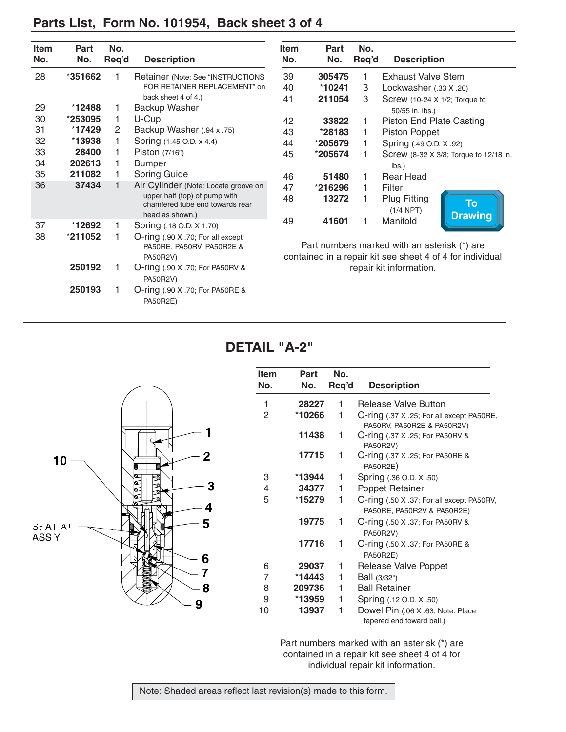<span id="page-5-0"></span>

|  |  |  | Parts List, Form No. 101954, Back sheet 3 of 4 |
|--|--|--|------------------------------------------------|
|--|--|--|------------------------------------------------|

| Item | <b>Part</b> | No.            |                                                                                     | Item | Part    | No.   |                                                                                                           |
|------|-------------|----------------|-------------------------------------------------------------------------------------|------|---------|-------|-----------------------------------------------------------------------------------------------------------|
| No.  | No.         | Req'd          | <b>Description</b>                                                                  | No.  | No.     | Req'd | <b>Description</b>                                                                                        |
| 28   | *351662     | 1              | Retainer (Note: See "INSTRUCTIONS                                                   | 39   | 305475  |       | <b>Exhaust Valve Stem</b>                                                                                 |
|      |             |                | FOR RETAINER REPLACEMENT" on                                                        | 40   | *10241  | 3     | Lockwasher (.33 X .20)                                                                                    |
|      |             |                | back sheet 4 of 4.)                                                                 | 41   | 211054  | 3     | Screw (10-24 X 1/2; Torque to                                                                             |
| 29   | $*12488$    | 1              | Backup Washer                                                                       |      |         |       | 50/55 in. lbs.)                                                                                           |
| 30   | *253095     | 1              | U-Cup                                                                               | 42   | 33822   |       | <b>Piston End Plate Casting</b>                                                                           |
| 31   | *17429      | $\overline{2}$ | Backup Washer (.94 x .75)                                                           | 43   | *28183  |       | <b>Piston Poppet</b>                                                                                      |
| 32   | $*13938$    | 1              | Spring (1.45 O.D. x 4.4)                                                            | 44   | *205679 |       | Spring (.49 O.D. X .92)                                                                                   |
| 33   | 28400       | 1              | Piston $(7/16)$                                                                     | 45   | *205674 | 1     | Screw (8-32 X 3/8; Torque to 12/18 in.                                                                    |
| 34   | 202613      | 1              | <b>Bumper</b>                                                                       |      |         |       | $\mathsf{lbs.}$                                                                                           |
| 35   | 211082      |                | <b>Spring Guide</b>                                                                 | 46   | 51480   | 1     | <b>Rear Head</b>                                                                                          |
| 36   | 37434       | 1              | Air Cylinder (Note: Locate groove on                                                | 47   | *216296 | 1.    | Filter                                                                                                    |
|      |             |                | upper half (top) of pump with<br>chamfered tube end towards rear<br>head as shown.) | 48   | 13272   |       | <b>Plug Fitting</b><br><b>To</b><br>$(1/4$ NPT)<br><b>Drawing</b>                                         |
| 37   | *12692      | 1              | Spring (.18 O.D. X 1.70)                                                            | 49   | 41601   |       | Manifold                                                                                                  |
| 38   | *211052     | 1              | O-ring (.90 X .70; For all except<br>PA50RE, PA50RV, PA50R2E &<br>PA50R2V)          |      |         |       | Part numbers marked with an asterisk (*) are<br>contained in a repair kit see sheet 4 of 4 for individual |
|      | 250192      |                | O-ring (.90 X .70; For PA50RV &<br>PA50R2V)                                         |      |         |       | repair kit information.                                                                                   |
|      | 250193      | 1              | <b>O-ring (.90 X .70; For PA50RE &amp;</b><br><b>PA50R2E)</b>                       |      |         |       |                                                                                                           |

**DETAIL "A-2"**

|                              | Ite<br><b>No</b>               |
|------------------------------|--------------------------------|
|                              | $\mathbf{1}$<br>$\overline{c}$ |
| 1<br>$\mathbf 2$<br>10       |                                |
| ø<br>3<br>4<br>Ø             | 3<br>4<br>5                    |
| 5<br><b>SEAT AT</b><br>ASS'Y |                                |
| 6<br>7<br>8                  | $\frac{6}{7}$<br>8             |
| 9                            | 9<br>10                        |

| <b>Item</b><br>No. | Part<br>No. | No.<br>Req'd | <b>Description</b>                                                      |
|--------------------|-------------|--------------|-------------------------------------------------------------------------|
| 1                  | 28227       | 1            | <b>Release Valve Button</b>                                             |
| 2                  | *10266      | 1            | O-ring (.37 X .25; For all except PA50RE,<br>PA50RV, PA50R2E & PA50R2V) |
|                    | 11438       | 1            | O-ring (.37 X .25; For PA50RV &<br>PA50R2V)                             |
|                    | 17715       | 1            | O-ring (.37 X .25; For PA50RE &<br>PA50R2E)                             |
| 3                  | *13944      | 1            | Spring (.36 O.D. X .50)                                                 |
| 4                  | 34377       | 1            | Poppet Retainer                                                         |
| 5                  | *15279      | 1            | O-ring (.50 X .37; For all except PA50RV,<br>PA50RE, PA50R2V & PA50R2E) |
|                    | 19775       | 1            | <b>O-ring (.50 X .37; For PA50RV &amp;</b><br>PA50R2V)                  |
|                    | 17716       | 1            | O-ring (.50 X .37; For PA50RE &<br>PA50R2E)                             |
| 6                  | 29037       | 1            | Release Valve Poppet                                                    |
| 7                  | $*14443$    | 1            | Ball (3/32")                                                            |
| 8                  | 209736      | 1            | <b>Ball Retainer</b>                                                    |
| 9                  | *13959      | 1            | Spring (.12 O.D. X .50)                                                 |
| 10                 | 13937       | 1            | Dowel Pin (.06 X .63; Note: Place<br>tapered end toward ball.)          |

Part numbers marked with an asterisk (\*) are contained in a repair kit see sheet 4 of 4 for individual repair kit information.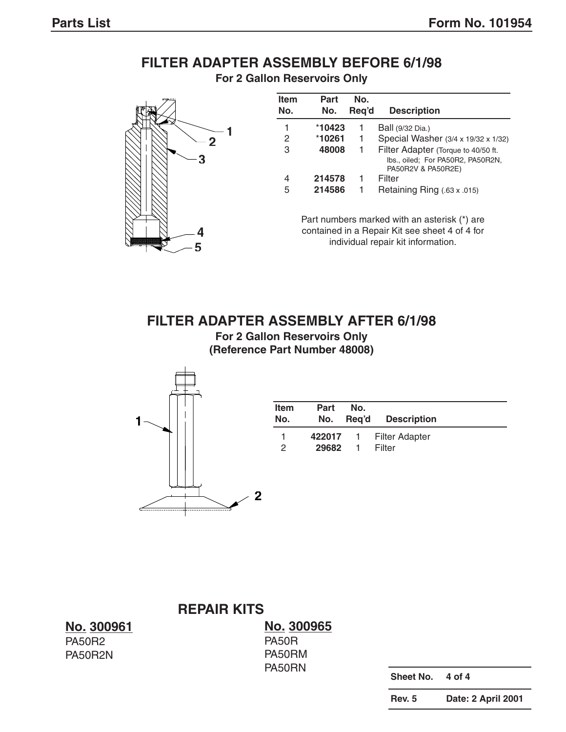# **FILTER ADAPTER ASSEMBLY BEFORE 6/1/98**





| <b>Item</b><br>No. | Part<br>No. | No.<br>Reg'd | <b>Description</b>                                                                             |
|--------------------|-------------|--------------|------------------------------------------------------------------------------------------------|
| 1                  | *10423      |              | Ball (9/32 Dia.)                                                                               |
| 2                  | *10261      | 1            | Special Washer (3/4 x 19/32 x 1/32)                                                            |
| 3                  | 48008       | 1            | Filter Adapter (Torque to 40/50 ft.<br>Ibs., oiled; For PA50R2, PA50R2N,<br>PA50R2V & PA50R2E) |
| 4                  | 214578      | 1            | Filter                                                                                         |
| 5                  | 214586      | 1            | Retaining Ring (.63 x .015)                                                                    |

Part numbers marked with an asterisk (\*) are contained in a Repair Kit see sheet 4 of 4 for individual repair kit information.

### **FILTER ADAPTER ASSEMBLY AFTER 6/1/98**

**For 2 Gallon Reservoirs Only (Reference Part Number 48008)**



| <b>Item</b><br>No. | <b>Part</b><br>No. | No.<br>Req'd | <b>Description</b>      |
|--------------------|--------------------|--------------|-------------------------|
|                    |                    |              | 422017 1 Filter Adapter |
| 2                  | 29682              |              | Filter                  |

**REPAIR KITS**

**No. 300961** PA50R2 PA50R2N

**No. 300965** PA50R PA50RM PA50RN

**Sheet No. 4 of 4**

**Rev. 5 Date: 2 April 2001**